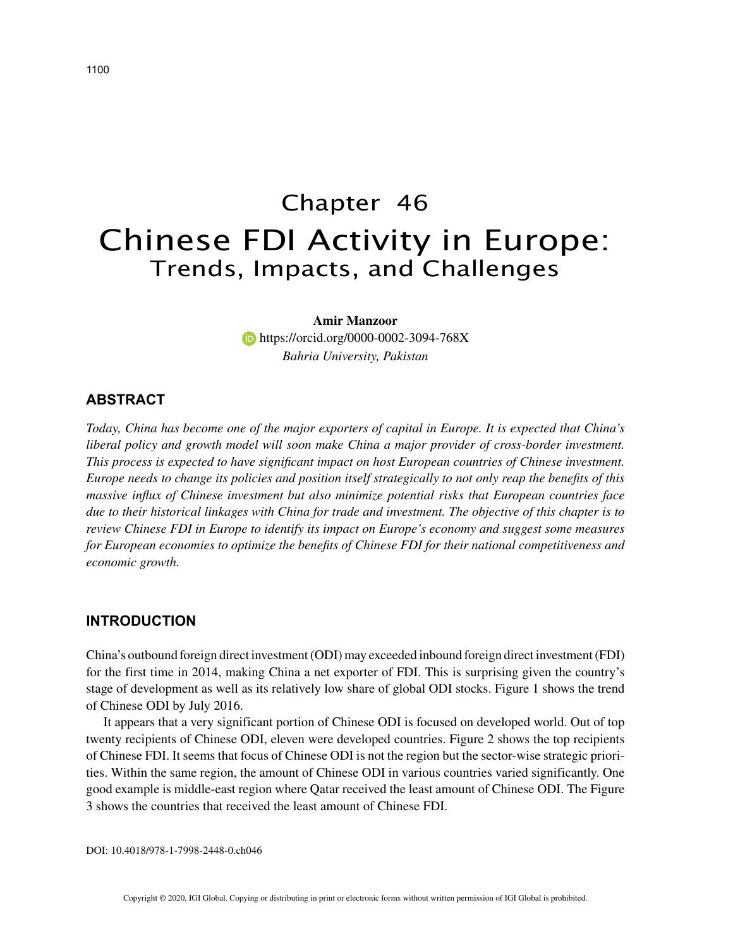# Chapter 46 Chinese FDI Activity in Europe: Trends, Impacts, and Challenges

## **Amir Manzoor**

**https://orcid.org/0000-0002-3094-768X** *Bahria University, Pakistan*

# **ABSTRACT**

*Today, China has become one of the major exporters of capital in Europe. It is expected that China's liberal policy and growth model will soon make China a major provider of cross-border investment. This process is expected to have significant impact on host European countries of Chinese investment. Europe needs to change its policies and position itself strategically to not only reap the benefits of this massive influx of Chinese investment but also minimize potential risks that European countries face due to their historical linkages with China for trade and investment. The objective of this chapter is to review Chinese FDI in Europe to identify its impact on Europe's economy and suggest some measures for European economies to optimize the benefits of Chinese FDI for their national competitiveness and economic growth.*

#### **INTRODUCTION**

China's outbound foreign direct investment (ODI) may exceeded inbound foreign direct investment (FDI) for the first time in 2014, making China a net exporter of FDI. This is surprising given the country's stage of development as well as its relatively low share of global ODI stocks. Figure 1 shows the trend of Chinese ODI by July 2016.

It appears that a very significant portion of Chinese ODI is focused on developed world. Out of top twenty recipients of Chinese ODI, eleven were developed countries. Figure 2 shows the top recipients of Chinese FDI. It seems that focus of Chinese ODI is not the region but the sector-wise strategic priorities. Within the same region, the amount of Chinese ODI in various countries varied significantly. One good example is middle-east region where Qatar received the least amount of Chinese ODI. The Figure 3 shows the countries that received the least amount of Chinese FDI.

DOI: 10.4018/978-1-7998-2448-0.ch046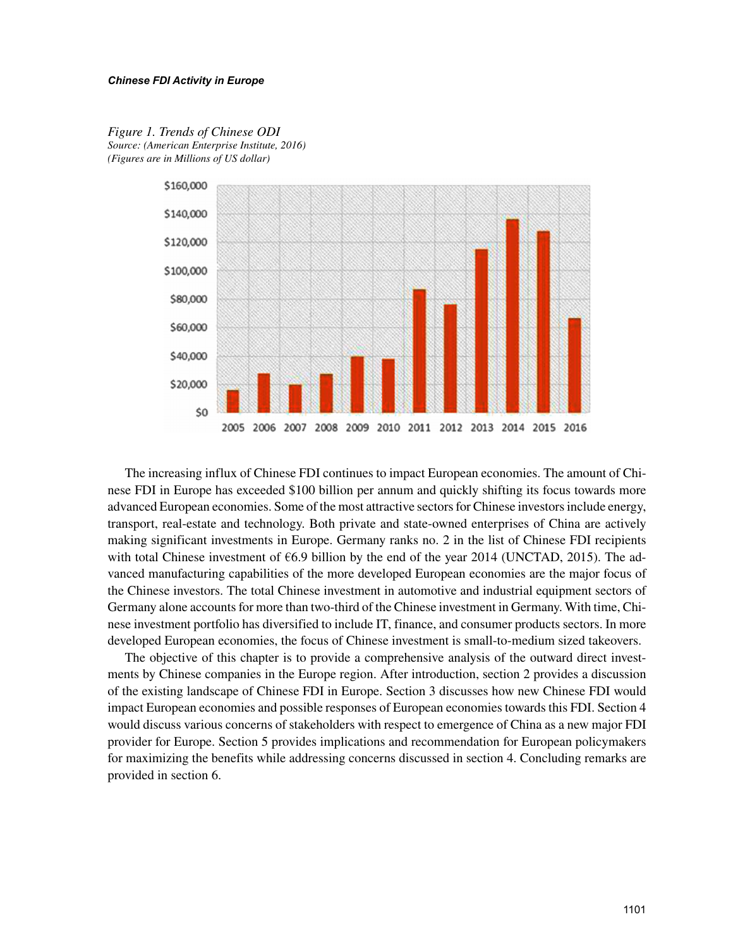

*Figure 1. Trends of Chinese ODI Source: (American Enterprise Institute, 2016) (Figures are in Millions of US dollar)*

The increasing influx of Chinese FDI continues to impact European economies. The amount of Chinese FDI in Europe has exceeded \$100 billion per annum and quickly shifting its focus towards more advanced European economies. Some of the most attractive sectors for Chinese investors include energy, transport, real-estate and technology. Both private and state-owned enterprises of China are actively making significant investments in Europe. Germany ranks no. 2 in the list of Chinese FDI recipients with total Chinese investment of  $66.9$  billion by the end of the year 2014 (UNCTAD, 2015). The advanced manufacturing capabilities of the more developed European economies are the major focus of the Chinese investors. The total Chinese investment in automotive and industrial equipment sectors of Germany alone accounts for more than two-third of the Chinese investment in Germany. With time, Chinese investment portfolio has diversified to include IT, finance, and consumer products sectors. In more developed European economies, the focus of Chinese investment is small-to-medium sized takeovers.

The objective of this chapter is to provide a comprehensive analysis of the outward direct investments by Chinese companies in the Europe region. After introduction, section 2 provides a discussion of the existing landscape of Chinese FDI in Europe. Section 3 discusses how new Chinese FDI would impact European economies and possible responses of European economies towards this FDI. Section 4 would discuss various concerns of stakeholders with respect to emergence of China as a new major FDI provider for Europe. Section 5 provides implications and recommendation for European policymakers for maximizing the benefits while addressing concerns discussed in section 4. Concluding remarks are provided in section 6.